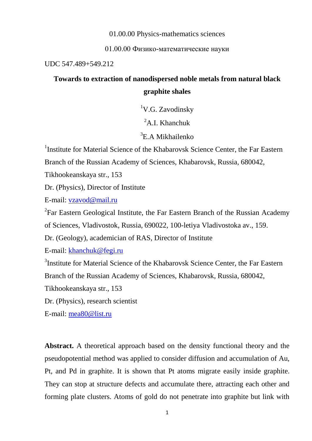### 01.00.00 Physics-mathematics sciences

### 01.00.00 Физико-математические науки

UDC 547.489+549.212

# **Towards to extraction of nanodispersed noble metals from natural black graphite shales**

<sup>1</sup>V.G. Zavodinsky

 ${}^{2}$ A.I. Khanchuk

# 3 E.A Mikhailenko

<sup>1</sup>Institute for Material Science of the Khabarovsk Science Center, the Far Eastern

Branch of the Russian Academy of Sciences, Khabarovsk, Russia, 680042,

Tikhookeanskaya str., 153

Dr. (Physics), Director of Institute

E-mail: [vzavod@mail.ru](mailto:vzavod@mail.ru)

 ${}^{2}$ Far Eastern Geological Institute, the Far Eastern Branch of the Russian Academy of Sciences, Vladivostok, Russia, 690022, 100-letiya Vladivostoka av., 159.

Dr. (Geology), academician of RAS, Director of Institute

E-mail: [khanchuk@fegi.ru](mailto:khanchuk@fegi.ru)

<sup>3</sup>Institute for Material Science of the Khabarovsk Science Center, the Far Eastern

Branch of the Russian Academy of Sciences, Khabarovsk, Russia, 680042,

Tikhookeanskaya str., 153

Dr. (Physics), research scientist

E-mail: [mea80@list.ru](mailto:mea80@list.ru)

**Abstract.** A theoretical approach based on the density functional theory and the pseudopotential method was applied to consider diffusion and accumulation of Au, Pt, and Pd in graphite. It is shown that Pt atoms migrate easily inside graphite. They can stop at structure defects and accumulate there, attracting each other and forming plate clusters. Atoms of gold do not penetrate into graphite but link with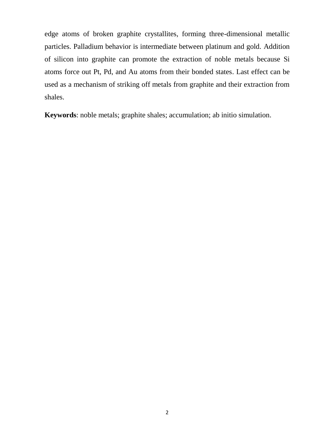edge atoms of broken graphite crystallites, forming three-dimensional metallic particles. Palladium behavior is intermediate between platinum and gold. Addition of silicon into graphite can promote the extraction of noble metals because Si atoms force out Pt, Pd, and Au atoms from their bonded states. Last effect can be used as a mechanism of striking off metals from graphite and their extraction from shales.

**Keywords**: noble metals; graphite shales; accumulation; ab initio simulation.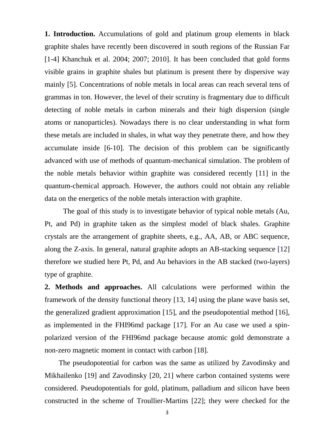**1. Introduction.** Accumulations of gold and platinum group elements in black graphite shales have recently been discovered in south regions of the Russian Far [1-4] Khanchuk et al. 2004; 2007; 2010]. It has been concluded that gold forms visible grains in graphite shales but platinum is present there by dispersive way mainly [5]. Concentrations of noble metals in local areas can reach several tens of grammas in ton. However, the level of their scrutiny is fragmentary due to difficult detecting of noble metals in carbon minerals and their high dispersion (single atoms or nanoparticles). Nowadays there is no clear understanding in what form these metals are included in shales, in what way they penetrate there, and how they accumulate inside [6-10]. The decision of this problem can be significantly advanced with use of methods of quantum-mechanical simulation. The problem of the noble metals behavior within graphite was considered recently [11] in the quantum-chemical approach. However, the authors could not obtain any reliable data on the energetics of the noble metals interaction with graphite.

The goal of this study is to investigate behavior of typical noble metals (Au, Pt, and Pd) in graphite taken as the simplest model of black shales. Graphite crystals are the arrangement of graphite sheets, e.g., AA, AB, or ABC sequence, along the Z-axis. In general, natural graphite adopts an AB-stacking sequence [12] therefore we studied here Pt, Pd, and Au behaviors in the AB stacked (two-layers) type of graphite.

**2. Methods and approaches.** All calculations were performed within the framework of the density functional theory [13, 14] using the plane wave basis set, the generalized gradient approximation [15], and the pseudopotential method [16], as implemented in the FHI96md package [17]. For an Au case we used a spinpolarized version of the FHI96md package because atomic gold demonstrate a non-zero magnetic moment in contact with carbon [18].

The pseudopotential for carbon was the same as utilized by Zavodinsky and Mikhailenko [19] and Zavodinsky [20, 21] where carbon contained systems were considered. Pseudopotentials for gold, platinum, palladium and silicon have been constructed in the scheme of Troullier-Martins [22]; they were checked for the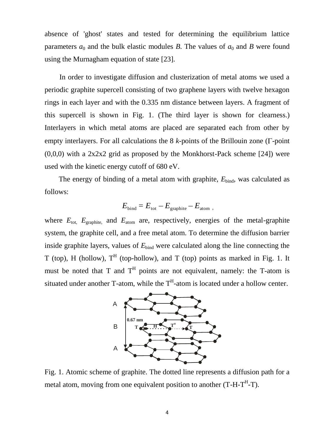absence of 'ghost' states and tested for determining the equilibrium lattice parameters  $a_0$  and the bulk elastic modules *B*. The values of  $a_0$  and *B* were found using the Murnagham equation of state [23].

In order to investigate diffusion and clusterization of metal atoms we used a periodic graphite supercell consisting of two graphene layers with twelve hexagon rings in each layer and with the 0.335 nm distance between layers. A fragment of this supercell is shown in Fig. 1. (The third layer is shown for clearness.) Interlayers in which metal atoms are placed are separated each from other by empty interlayers. For all calculations the  $8 \, k$ -points of the Brillouin zone ( $\Gamma$ -point  $(0,0,0)$  with a 2x2x2 grid as proposed by the Monkhorst-Pack scheme [24]) were used with the kinetic energy cutoff of 680 eV.

The energy of binding of a metal atom with graphite,  $E_{bind}$ , was calculated as follows:

$$
E_{\text{bind}} = E_{\text{tot}} - E_{\text{graphite}} - E_{\text{atom}} ,
$$

where  $E_{\text{tot}}$ ,  $E_{\text{graphite}}$  and  $E_{\text{atom}}$  are, respectively, energies of the metal-graphite system, the graphite cell, and a free metal atom. To determine the diffusion barrier inside graphite layers, values of  $E_{bind}$  were calculated along the line connecting the T (top), H (hollow),  $T<sup>H</sup>$  (top-hollow), and T (top) points as marked in Fig. 1. It must be noted that T and  $T<sup>H</sup>$  points are not equivalent, namely: the T-atom is situated under another T-atom, while the  $T<sup>H</sup>$ -atom is located under a hollow center.



Fig. 1. Atomic scheme of graphite. The dotted line represents a diffusion path for a metal atom, moving from one equivalent position to another  $(T-H-T<sup>H</sup>-T)$ .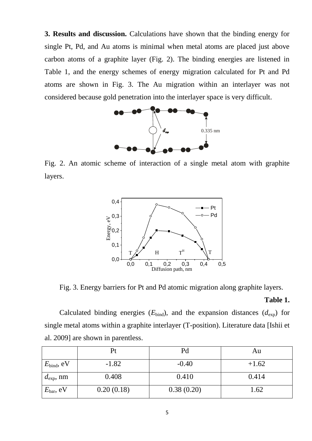**3. Results and discussion.** Calculations have shown that the binding energy for single Pt, Pd, and Au atoms is minimal when metal atoms are placed just above carbon atoms of a graphite layer (Fig. 2). The binding energies are listened in Table 1, and the energy schemes of energy migration calculated for Pt and Pd atoms are shown in Fig. 3. The Au migration within an interlayer was not considered because gold penetration into the interlayer space is very difficult.



Fig. 2. An atomic scheme of interaction of a single metal atom with graphite layers.



Fig. 3. Energy barriers for Pt and Pd atomic migration along graphite layers.

#### **Table 1.**

Calculated binding energies  $(E_{bind})$ , and the expansion distances  $(d_{exp})$  for single metal atoms within a graphite interlayer (T-position). Literature data [Ishii et al. 2009] are shown in parentless.

|                       | Pt         | Pd         | Au      |
|-----------------------|------------|------------|---------|
| $E_{bind}$ , eV       | $-1.82$    | $-0.40$    | $+1.62$ |
| $d_{\text{exp}}$ , nm | 0.408      | 0.410      | 0.414   |
| $E_{\text{bar}}$ , eV | 0.20(0.18) | 0.38(0.20) | 1.62    |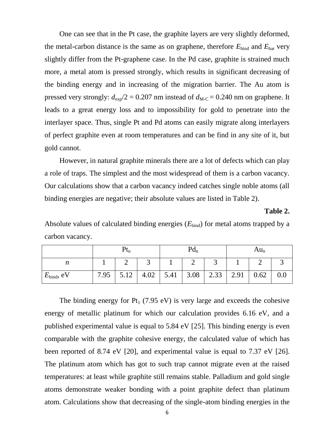One can see that in the Pt case, the graphite layers are very slightly deformed, the metal-carbon distance is the same as on graphene, therefore  $E_{bind}$  and  $E_{bar}$  very slightly differ from the Pt-graphene case. In the Pd case, graphite is strained much more, a metal atom is pressed strongly, which results in significant decreasing of the binding energy and in increasing of the migration barrier. The Au atom is pressed very strongly:  $d_{\rm exp}/2 = 0.207$  nm instead of  $d_{\rm M-C} = 0.240$  nm on graphene. It leads to a great energy loss and to impossibility for gold to penetrate into the interlayer space. Thus, single Pt and Pd atoms can easily migrate along interlayers of perfect graphite even at room temperatures and can be find in any site of it, but gold cannot.

However, in natural graphite minerals there are a lot of defects which can play a role of traps. The simplest and the most widespread of them is a carbon vacancy. Our calculations show that a carbon vacancy indeed catches single noble atoms (all binding energies are negative; their absolute values are listed in Table 2).

**Table 2.**

Absolute values of calculated binding energies  $(E_{bind})$  for metal atoms trapped by a carbon vacancy.

|                 |      | ւ ւր |      | $Pd_n$ |                             | $Au_n$ |      |     |
|-----------------|------|------|------|--------|-----------------------------|--------|------|-----|
|                 |      |      |      |        |                             |        |      |     |
| $E_{bind}$ , eV | 7.95 | 5.12 | 4.02 |        | $5.41$   3.08   2.33   2.91 |        | 0.62 | 0.0 |

The binding energy for  $Pt_1$  (7.95 eV) is very large and exceeds the cohesive energy of metallic platinum for which our calculation provides 6.16 eV, and a published experimental value is equal to 5.84 eV [25]. This binding energy is even comparable with the graphite cohesive energy, the calculated value of which has been reported of 8.74 eV [20], and experimental value is equal to 7.37 eV [26]. The platinum atom which has got to such trap cannot migrate even at the raised temperatures: at least while graphite still remains stable. Palladium and gold single atoms demonstrate weaker bonding with a point graphite defect than platinum atom. Calculations show that decreasing of the single-atom binding energies in the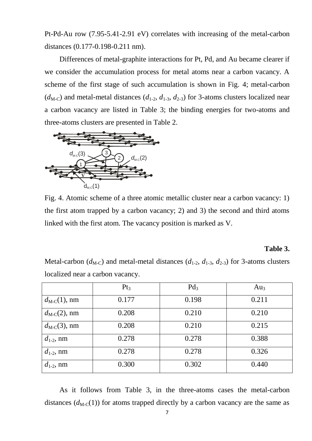Pt-Pd-Au row (7.95-5.41-2.91 eV) correlates with increasing of the metal-carbon distances (0.177-0.198-0.211 nm).

Differences of metal-graphite interactions for Pt, Pd, and Au became clearer if we consider the accumulation process for metal atoms near a carbon vacancy. A scheme of the first stage of such accumulation is shown in Fig. 4; metal-carbon  $(d_{\text{M-C}})$  and metal-metal distances  $(d_{1-2}, d_{1-3}, d_{2-3})$  for 3-atoms clusters localized near a carbon vacancy are listed in Table 3; the binding energies for two-atoms and three-atoms clusters are presented in Table 2.



Fig. 4. Atomic scheme of a three atomic metallic cluster near a carbon vacancy: 1) the first atom trapped by a carbon vacancy; 2) and 3) the second and third atoms linked with the first atom. The vacancy position is marked as V.

#### **Table 3.**

Metal-carbon ( $d_{M-C}$ ) and metal-metal distances ( $d_{1-2}$ ,  $d_{1-3}$ ,  $d_{2-3}$ ) for 3-atoms clusters localized near a carbon vacancy.

|                          | Pt <sub>3</sub> | $Pd_3$ | Au <sub>3</sub> |
|--------------------------|-----------------|--------|-----------------|
| $d_{\text{M-C}}(1)$ , nm | 0.177           | 0.198  | 0.211           |
| $d_{\text{M-C}}(2)$ , nm | 0.208           | 0.210  | 0.210           |
| $d_{\text{M-C}}(3)$ , nm | 0.208           | 0.210  | 0.215           |
| $d_{1-2}$ , nm           | 0.278           | 0.278  | 0.388           |
| $d_{1-2}$ , nm           | 0.278           | 0.278  | 0.326           |
| $d_{1-2}$ , nm           | 0.300           | 0.302  | 0.440           |

As it follows from Table 3, in the three-atoms cases the metal-carbon distances  $(d_{M-C}(1))$  for atoms trapped directly by a carbon vacancy are the same as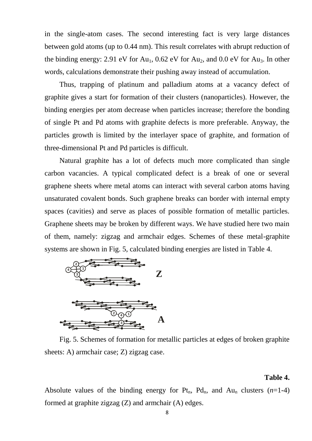in the single-atom cases. The second interesting fact is very large distances between gold atoms (up to 0.44 nm). This result correlates with abrupt reduction of the binding energy: 2.91 eV for  $Au_1$ , 0.62 eV for  $Au_2$ , and 0.0 eV for  $Au_3$ . In other words, calculations demonstrate their pushing away instead of accumulation.

Thus, trapping of platinum and palladium atoms at a vacancy defect of graphite gives a start for formation of their clusters (nanoparticles). However, the binding energies per atom decrease when particles increase; therefore the bonding of single Pt and Pd atoms with graphite defects is more preferable. Anyway, the particles growth is limited by the interlayer space of graphite, and formation of three-dimensional Pt and Pd particles is difficult.

Natural graphite has a lot of defects much more complicated than single carbon vacancies. A typical complicated defect is a break of one or several graphene sheets where metal atoms can interact with several carbon atoms having unsaturated covalent bonds. Such graphene breaks can border with internal empty spaces (cavities) and serve as places of possible formation of metallic particles. Graphene sheets may be broken by different ways. We have studied here two main of them, namely: zigzag and armchair edges. Schemes of these metal-graphite systems are shown in Fig. 5, calculated binding energies are listed in Table 4.





Fig. 5. Schemes of formation for metallic particles at edges of broken graphite sheets: A) armchair case; Z) zigzag case.

#### **Table 4.**

Absolute values of the binding energy for  $Pt_n$ ,  $Pd_n$ , and  $Au_n$  clusters  $(n=1-4)$ formed at graphite zigzag (Z) and armchair (A) edges.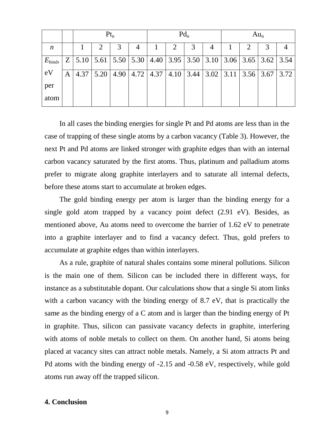|                  |   | $Pt_n$ |  |                                    |  | $Pd_n$ |  |  |  | $Au_n$ |  |                                                                                         |  |
|------------------|---|--------|--|------------------------------------|--|--------|--|--|--|--------|--|-----------------------------------------------------------------------------------------|--|
| $\boldsymbol{n}$ |   |        |  |                                    |  |        |  |  |  |        |  |                                                                                         |  |
| $E_{\rm bind}$   |   |        |  |                                    |  |        |  |  |  |        |  | $Z$   5.10   5.61   5.50   5.30   4.40   3.95   3.50   3.10   3.06   3.65   3.62   3.54 |  |
| eV               | A | 4.37   |  | $5.20$   4.90   4.72   4.37   4.10 |  |        |  |  |  |        |  | $3.44$   3.02   3.11   3.56   3.67   3.72                                               |  |
| per              |   |        |  |                                    |  |        |  |  |  |        |  |                                                                                         |  |
| atom             |   |        |  |                                    |  |        |  |  |  |        |  |                                                                                         |  |

In all cases the binding energies for single Pt and Pd atoms are less than in the case of trapping of these single atoms by a carbon vacancy (Table 3). However, the next Pt and Pd atoms are linked stronger with graphite edges than with an internal carbon vacancy saturated by the first atoms. Thus, platinum and palladium atoms prefer to migrate along graphite interlayers and to saturate all internal defects, before these atoms start to accumulate at broken edges.

The gold binding energy per atom is larger than the binding energy for a single gold atom trapped by a vacancy point defect (2.91 eV). Besides, as mentioned above, Au atoms need to overcome the barrier of 1.62 eV to penetrate into a graphite interlayer and to find a vacancy defect. Thus, gold prefers to accumulate at graphite edges than within interlayers.

As a rule, graphite of natural shales contains some mineral pollutions. Silicon is the main one of them. Silicon can be included there in different ways, for instance as a substitutable dopant. Our calculations show that a single Si atom links with a carbon vacancy with the binding energy of 8.7 eV, that is practically the same as the binding energy of a C atom and is larger than the binding energy of Pt in graphite. Thus, silicon can passivate vacancy defects in graphite, interfering with atoms of noble metals to collect on them. On another hand, Si atoms being placed at vacancy sites can attract noble metals. Namely, a Si atom attracts Pt and Pd atoms with the binding energy of -2.15 and -0.58 eV, respectively, while gold atoms run away off the trapped silicon.

# **4. Conclusion**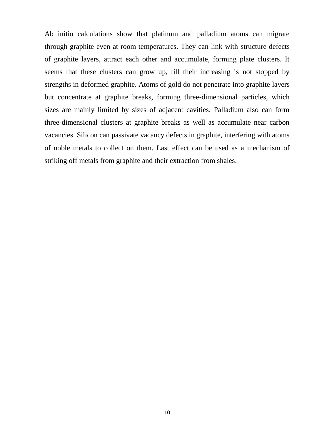Ab initio calculations show that platinum and palladium atoms can migrate through graphite even at room temperatures. They can link with structure defects of graphite layers, attract each other and accumulate, forming plate clusters. It seems that these clusters can grow up, till their increasing is not stopped by strengths in deformed graphite. Atoms of gold do not penetrate into graphite layers but concentrate at graphite breaks, forming three-dimensional particles, which sizes are mainly limited by sizes of adjacent cavities. Palladium also can form three-dimensional clusters at graphite breaks as well as accumulate near carbon vacancies. Silicon can passivate vacancy defects in graphite, interfering with atoms of noble metals to collect on them. Last effect can be used as a mechanism of striking off metals from graphite and their extraction from shales.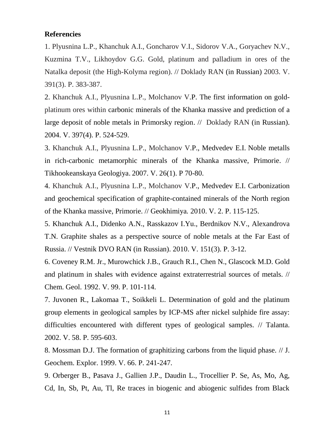## **Referencies**

1. Plyusnina L.P., Khanchuk A.I., Goncharov V.I., Sidorov V.A., Goryachev N.V., Kuzmina T.V., Likhoydov G.G. Gold, platinum and palladium in ores of the Natalka deposit (the High-Kolyma region). // Doklady RAN (in Russian) 2003. V. 391(3). P. 383-387.

2. Khanchuk A.I., Plyusnina L.P., Molchanov V.P. The first information on goldplatinum ores within carbonic minerals of the Khanka massive and prediction of a large deposit of noble metals in Primorsky region. // Doklady RAN (in Russian). 2004. V. 397(4). P. 524-529.

3. Khanchuk A.I., Plyusnina L.P., Molchanov V.P., Medvedev E.I. Noble metalls in rich-carbonic metamorphic minerals of the Khanka massive, Primorie. // Tikhookeanskaya Geologiya. 2007. V. 26(1). P 70-80.

4. Khanchuk A.I., Plyusnina L.P., Molchanov V.P., Medvedev E.I. Carbonization and geochemical specification of graphite-contained minerals of the North region of the Khanka massive, Primorie. // Geokhimiya*.* 2010. V. 2. P. 115-125.

5. Khanchuk A.I., Didenko A.N., Rasskazov I.Yu., Berdnikov N.V., Alexandrova T.N. Graphite shales as a perspective source of noble metals at the Far East of Russia. // Vestnik DVO RAN (in Russian). 2010. V. 151(3). P. 3-12.

6. Coveney R.M. Jr., Murowchick J.B., Grauch R.I., Chen N., Glascock M.D. Gold and platinum in shales with evidence against extraterrestrial sources of metals. // Chem. Geol. 1992. V. 99. P. 101-114.

7. Juvonen R., Lakomaa T., Soikkeli L. Determination of gold and the platinum group elements in geological samples by ICP-MS after nickel sulphide fire assay: difficulties encountered with different types of geological samples. // Talanta. 2002. V. 58. P. 595-603.

8. Mossman D.J. The formation of graphitizing carbons from the liquid phase. // J. Geochem. Explor. 1999. V. 66. P. 241-247.

9. Orberger B., Pasava J., Gallien J.P., Daudin L., Trocellier P. Se, As, Mo, Ag, Cd, In, Sb, Pt, Au, Tl, Re traces in biogenic and abiogenic sulfides from Black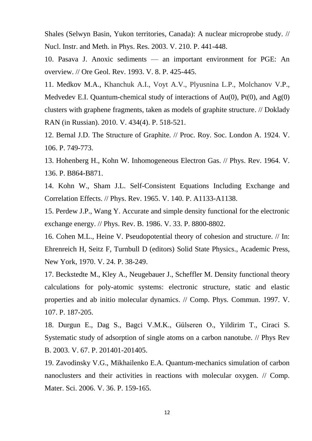Shales (Selwyn Basin, Yukon territories, Canada): A nuclear microprobe study. // Nucl. Instr. and Meth. in Phys. Res. 2003. V. 210. P. 441-448.

10. Pasava J. Anoxic sediments — an important environment for PGE: An overview. // Ore Geol. Rev. 1993. V. 8. P. 425-445.

11. Medkov M.A., Khanchuk A.I., Voyt A.V., Plyusnina L.P., Molchanov V.P., Medvedev E.I. Quantum-chemical study of interactions of  $Au(0)$ ,  $Pt(0)$ , and  $Ag(0)$ clusters with graphene fragments, taken as models of graphite structure. // Doklady RAN (in Russian). 2010. V. 434(4). P. 518-521.

12. Bernal J.D. The Structure of Graphite. // Proc. Roy. Soc. London A. 1924. V. 106. P. 749-773.

13. Hohenberg H., Kohn W. Inhomogeneous Electron Gas. // Phys. Rev. 1964. V. 136. P. B864-B871.

14. Kohn W., Sham J.L. Self-Consistent Equations Including Exchange and Correlation Effects. // Phys. Rev. 1965. V. 140. P. A1133-A1138.

15. Perdew J.P., Wang Y. Accurate and simple density functional for the electronic exchange energy. // Phys. Rev. B. 1986. V. 33. P. 8800-8802.

16. Cohen M.L., Heine V. Pseudopotential theory of cohesion and structure. // In: Ehrenreich H, Seitz F, Turnbull D (editors) Solid State Physics., Academic Press, New York, 1970. V. 24. P. 38-249.

17. Beckstedte M., Kley A., Neugebauer J., Scheffler M. Density functional theory calculations for poly-atomic systems: electronic structure, static and elastic properties and ab initio molecular dynamics. // Comp. Phys. Commun. 1997. V. 107. P. 187-205.

18. Durgun E., Dag S., Bagci V.M.K., Gülseren O., Yildirim T., Ciraci S. Systematic study of adsorption of single atoms on a carbon nanotube. // Phys Rev B. 2003. V. 67. P. 201401-201405.

19. Zavodinsky V.G., Mikhailenko E.A. Quantum-mechanics simulation of carbon nanoclusters and their activities in reactions with molecular oxygen. // Comp. Mater. Sci. 2006. V. 36. P. 159-165.

12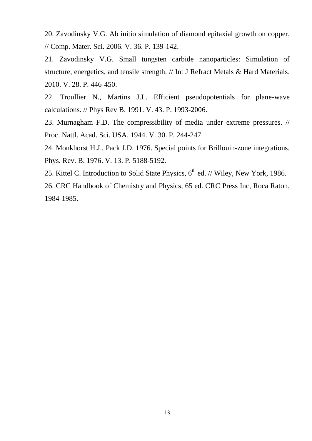20. Zavodinsky V.G. Ab initio simulation of diamond epitaxial growth on copper. // Comp. Mater. Sci. 2006. V. 36. P. 139-142.

21. Zavodinsky V.G. Small tungsten carbide nanoparticles: Simulation of structure, energetics, and tensile strength. // Int J Refract Metals & Hard Materials. 2010. V. 28. P. 446-450.

22. Troullier N., Martins J.L. Efficient pseudopotentials for plane-wave calculations. // Phys Rev B. 1991. V. 43. P. 1993-2006.

23. Murnagham F.D. The compressibility of media under extreme pressures. // Proc. Nattl. Acad. Sci. USA. 1944. V. 30. P. 244-247.

24. Monkhorst H.J., Pack J.D. 1976. Special points for Brillouin-zone integrations. Phys. Rev. B. 1976. V. 13. P. 5188-5192.

25. Kittel C. Introduction to Solid State Physics,  $6<sup>th</sup>$  ed. // Wiley, New York, 1986. 26. CRC Handbook of Chemistry and Physics, 65 ed. CRC Press Inc, Roca Raton,

1984-1985.